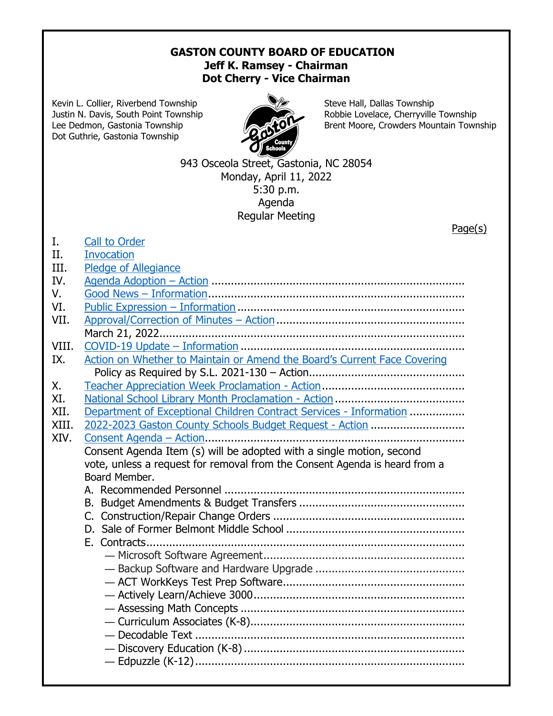## **GASTON COUNTY BOARD OF EDUCATION Jeff K. Ramsey - Chairman Dot Cherry - Vice Chairman**

Kevin L. Collier, Riverbend Township Steve Hall, Dallas Township Dot Guthrie, Gastonia Township



Justin N. Davis, South Point Township Robbie Lovelace, Cherryville Township Lee Dedmon, Gastonia Township **Brent Moore, Crowders Mountain Township** 

> 943 Osceola Street, Gastonia, NC 28054 Monday, April 11, 2022 5:30 p.m. Agenda Regular Meeting

|       | Page(s)                                                                    |
|-------|----------------------------------------------------------------------------|
| I.    | <b>Call to Order</b>                                                       |
| II.   | <b>Invocation</b>                                                          |
| III.  | Pledge of Allegiance                                                       |
| IV.   |                                                                            |
| V.    |                                                                            |
| VI.   |                                                                            |
| VII.  |                                                                            |
|       |                                                                            |
| VIII. |                                                                            |
| IX.   | Action on Whether to Maintain or Amend the Board's Current Face Covering   |
|       |                                                                            |
| Χ.    |                                                                            |
| XI.   |                                                                            |
| XII.  | Department of Exceptional Children Contract Services - Information         |
| XIII. | 2022-2023 Gaston County Schools Budget Request - Action                    |
| XIV.  |                                                                            |
|       | Consent Agenda Item (s) will be adopted with a single motion, second       |
|       | vote, unless a request for removal from the Consent Agenda is heard from a |
|       | Board Member.                                                              |
|       |                                                                            |
|       |                                                                            |
|       |                                                                            |
|       |                                                                            |
|       |                                                                            |
|       |                                                                            |
|       |                                                                            |
|       |                                                                            |
|       |                                                                            |
|       |                                                                            |
|       |                                                                            |
|       |                                                                            |
|       |                                                                            |
|       |                                                                            |
|       |                                                                            |